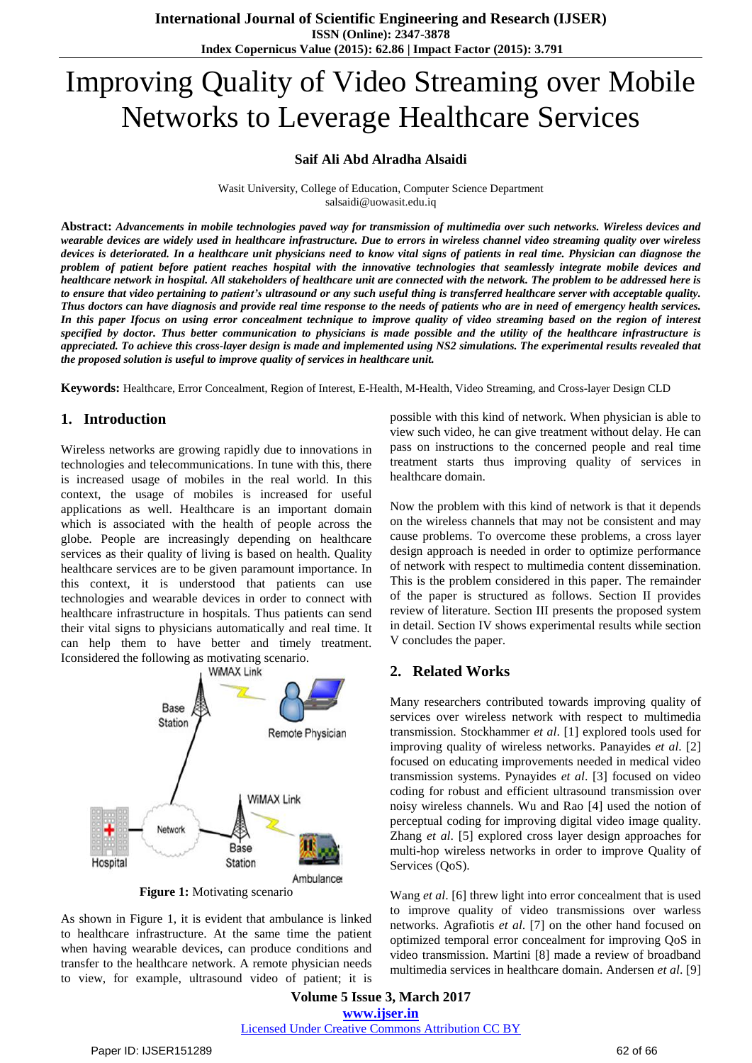# Improving Quality of Video Streaming over Mobile Networks to Leverage Healthcare Services

#### **Saif Ali Abd Alradha Alsaidi**

Wasit University, College of Education, Computer Science Department salsaidi@uowasit.edu.iq

Abstract: Advancements in mobile technologies paved way for transmission of multimedia over such networks. Wireless devices and wearable devices are widely used in healthcare infrastructure. Due to errors in wireless channel video streaming quality over wireless devices is deteriorated. In a healthcare unit physicians need to know vital signs of patients in real time. Physician can diagnose the problem of patient before patient reaches hospital with the innovative technologies that seamlessly integrate mobile devices and healthcare network in hospital. All stakeholders of healthcare unit are connected with the network. The problem to be addressed here is to ensure that video pertaining to patient's ultrasound or any such useful thing is transferred healthcare server with acceptable quality. Thus doctors can have diagnosis and provide real time response to the needs of patients who are in need of emergency health services. In this paper Ifocus on using error concealment technique to improve quality of video streaming based on the region of interest specified by doctor. Thus better communication to physicians is made possible and the utility of the healthcare infrastructure is appreciated. To achieve this cross-layer design is made and implemented using NS2 simulations. The experimental results revealed that *the proposed solution is useful to improve quality of services in healthcare unit.*

**Keywords:** Healthcare, Error Concealment, Region of Interest, E-Health, M-Health, Video Streaming, and Cross-layer Design CLD

#### **1. Introduction**

Wireless networks are growing rapidly due to innovations in technologies and telecommunications. In tune with this, there is increased usage of mobiles in the real world. In this context, the usage of mobiles is increased for useful applications as well. Healthcare is an important domain which is associated with the health of people across the globe. People are increasingly depending on healthcare services as their quality of living is based on health. Quality healthcare services are to be given paramount importance. In this context, it is understood that patients can use technologies and wearable devices in order to connect with healthcare infrastructure in hospitals. Thus patients can send their vital signs to physicians automatically and real time. It can help them to have better and timely treatment. Iconsidered the following as motivating scenario.



**Figure 1:** Motivating scenario

As shown in Figure 1, it is evident that ambulance is linked to healthcare infrastructure. At the same time the patient when having wearable devices, can produce conditions and transfer to the healthcare network. A remote physician needs to view, for example, ultrasound video of patient; it is possible with this kind of network. When physician is able to view such video, he can give treatment without delay. He can pass on instructions to the concerned people and real time treatment starts thus improving quality of services in healthcare domain.

Now the problem with this kind of network is that it depends on the wireless channels that may not be consistent and may cause problems. To overcome these problems, a cross layer design approach is needed in order to optimize performance of network with respect to multimedia content dissemination. This is the problem considered in this paper. The remainder of the paper is structured as follows. Section II provides review of literature. Section III presents the proposed system in detail. Section IV shows experimental results while section V concludes the paper.

#### **2. Related Works**

Many researchers contributed towards improving quality of services over wireless network with respect to multimedia transmission. Stockhammer *et al*. [1] explored tools used for improving quality of wireless networks. Panayides *et al*. [2] focused on educating improvements needed in medical video transmission systems. Pynayides *et al*. [3] focused on video coding for robust and efficient ultrasound transmission over noisy wireless channels. Wu and Rao [4] used the notion of perceptual coding for improving digital video image quality. Zhang *et al*. [5] explored cross layer design approaches for multi-hop wireless networks in order to improve Quality of Services (QoS).

Wang *et al*. [6] threw light into error concealment that is used to improve quality of video transmissions over warless networks. Agrafiotis *et al*. [7] on the other hand focused on optimized temporal error concealment for improving QoS in video transmission. Martini [8] made a review of broadband multimedia services in healthcare domain. Andersen *et al*. [9]

**Volume 5 Issue 3, March 2017 www.ijser.in** Licensed Under Creative Commons Attribution CC BY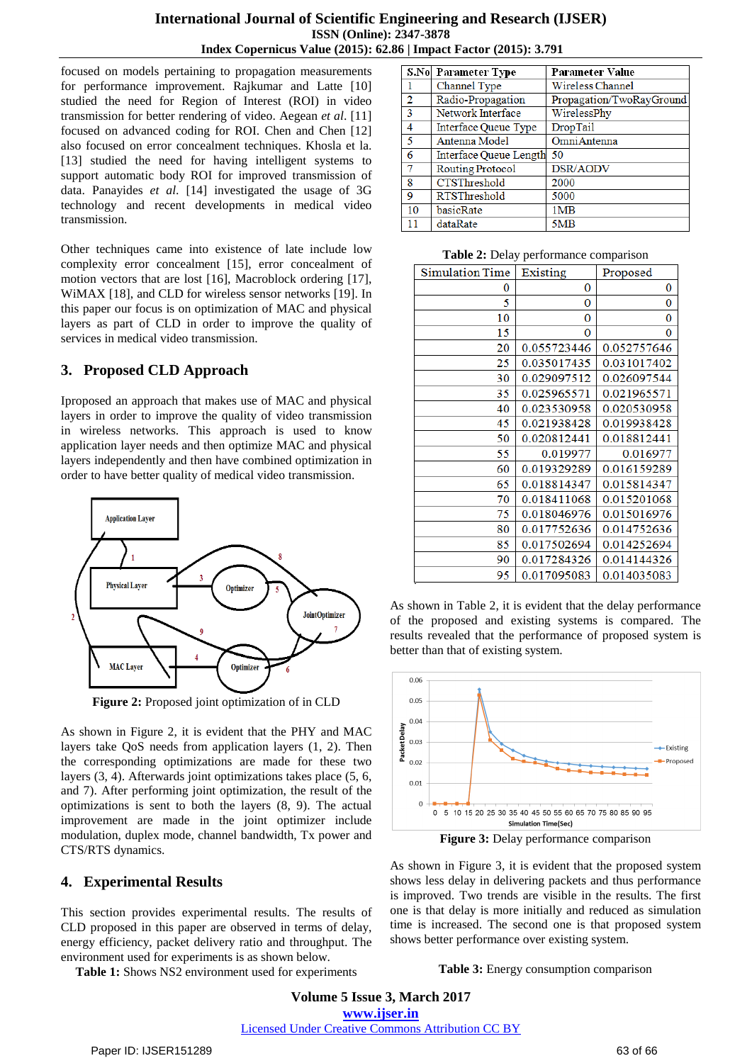focused on models pertaining to propagation measurements for performance improvement. Rajkumar and Latte [10] studied the need for Region of Interest (ROI) in video transmission for better rendering of video. Aegean *et al*. [11] focused on advanced coding for ROI. Chen and Chen [12] also focused on error concealment techniques. Khosla et la. [13] studied the need for having intelligent systems to support automatic body ROI for improved transmission of data. Panayides *et al*. [14] investigated the usage of 3G technology and recent developments in medical video transmission.

Other techniques came into existence of late include low complexity error concealment [15], error concealment of motion vectors that are lost [16], Macroblock ordering [17], WiMAX [18], and CLD for wireless sensor networks [19]. In this paper our focus is on optimization of MAC and physical layers as part of CLD in order to improve the quality of services in medical video transmission.

## **3. Proposed CLD Approach**

Iproposed an approach that makes use of MAC and physical layers in order to improve the quality of video transmission in wireless networks. This approach is used to know application layer needs and then optimize MAC and physical layers independently and then have combined optimization in order to have better quality of medical video transmission.



**Figure 2:** Proposed joint optimization of in CLD

As shown in Figure 2, it is evident that the PHY and MAC layers take QoS needs from application layers (1, 2). Then the corresponding optimizations are made for these two layers (3, 4). Afterwards joint optimizations takes place (5, 6, and 7). After performing joint optimization, the result of the optimizations is sent to both the layers (8, 9). The actual improvement are made in the joint optimizer include modulation, duplex mode, channel bandwidth, Tx power and CTS/RTS dynamics.

# **4. Experimental Results**

This section provides experimental results. The results of CLD proposed in this paper are observed in terms of delay, energy efficiency, packet delivery ratio and throughput. The environment used for experiments is as shown below.

**Table 1:** Shows NS2 environment used for experiments

|    | S.No Parameter Type     | <b>Parameter Value</b>   |
|----|-------------------------|--------------------------|
|    | Channel Type            | Wireless Channel         |
| 2  | Radio-Propagation       | Propagation/TwoRayGround |
| 3  | Network Interface       | WirelessPhy              |
| 4  | Interface Queue Type    | DropTail                 |
| 5  | Antenna Model           | OmniAntenna              |
| 6  | Interface Queue Length  | 50                       |
| 7  | <b>Routing Protocol</b> | DSR/AODV                 |
| 8  | <b>CTSThreshold</b>     | 2000                     |
| 9  | <b>RTSThreshold</b>     | 5000                     |
| 10 | basicRate               | 1M <sub>B</sub>          |
| 11 | dataRate                | 5MB                      |

**Table 2:** Delay performance comparison

| <b>Simulation Time</b> | Existing    | Proposed    |
|------------------------|-------------|-------------|
| 0                      | 0           | 0           |
| 5                      | $\bf{0}$    | 0           |
| 10                     | $\bf{0}$    | 0           |
| 15                     | 0           | 0           |
| 20                     | 0.055723446 | 0.052757646 |
| 25                     | 0.035017435 | 0.031017402 |
| 30                     | 0.029097512 | 0.026097544 |
| 35                     | 0.025965571 | 0.021965571 |
| 40                     | 0.023530958 | 0.020530958 |
| 45                     | 0.021938428 | 0.019938428 |
| 50                     | 0.020812441 | 0.018812441 |
| 55                     | 0.019977    | 0.016977    |
| 60                     | 0.019329289 | 0.016159289 |
| 65                     | 0.018814347 | 0.015814347 |
| 70                     | 0.018411068 | 0.015201068 |
| 75                     | 0.018046976 | 0.015016976 |
| 80                     | 0.017752636 | 0.014752636 |
| 85                     | 0.017502694 | 0.014252694 |
| 90                     | 0.017284326 | 0.014144326 |
| 95                     | 0.017095083 | 0.014035083 |

As shown in Table 2, it is evident that the delay performance of the proposed and existing systems is compared. The results revealed that the performance of proposed system is better than that of existing system.



**Figure 3:** Delay performance comparison

As shown in Figure 3, it is evident that the proposed system shows less delay in delivering packets and thus performance is improved. Two trends are visible in the results. The first one is that delay is more initially and reduced as simulation time is increased. The second one is that proposed system shows better performance over existing system.

**Table 3:** Energy consumption comparison

**Volume 5 Issue 3, March 2017 www.ijser.in** Licensed Under Creative Commons Attribution CC BY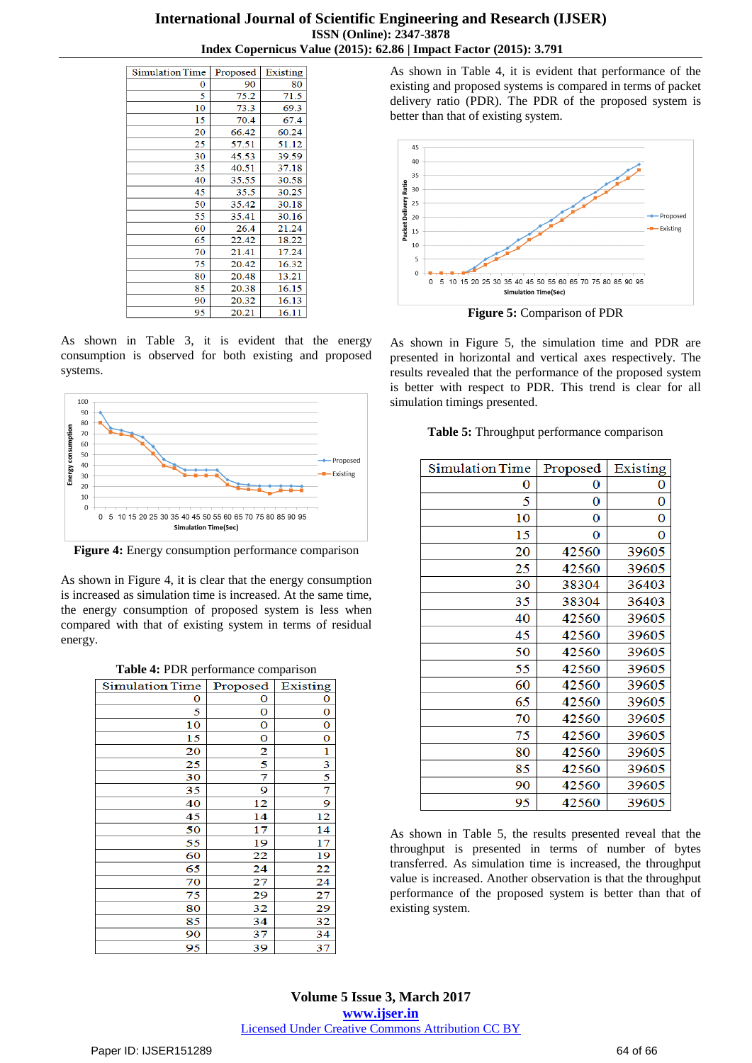| <b>Simulation Time</b> | Proposed | Existing |
|------------------------|----------|----------|
| 0                      | 90       | 80       |
| 5                      | 75.2     | 71.5     |
| 10                     | 73.3     | 69.3     |
| 15                     | 70.4     | 67.4     |
| 20                     | 66.42    | 60.24    |
| 25                     | 57.51    | 51.12    |
| 30                     | 45.53    | 39.59    |
| 35                     | 40.51    | 37.18    |
| 40                     | 35.55    | 30.58    |
| 45                     | 35.5     | 30.25    |
| 50                     | 35.42    | 30.18    |
| 55                     | 35.41    | 30.16    |
| 60                     | 26.4     | 21.24    |
| 65                     | 22.42    | 18.22    |
| 70                     | 21.41    | 17.24    |
| 75                     | 20.42    | 16.32    |
| 80                     | 20.48    | 13.21    |
| 85                     | 20.38    | 16.15    |
| 90                     | 20.32    | 16.13    |
| 95                     | 20.21    | 16.11    |

As shown in Table 3, it is evident that the energy consumption is observed for both existing and proposed systems.



**Figure 4:** Energy consumption performance comparison

As shown in Figure 4, it is clear that the energy consumption is increased as simulation time is increased. At the same time, the energy consumption of proposed system is less when compared with that of existing system in terms of residual energy.

| Table 4: PDR performance comparison |  |  |
|-------------------------------------|--|--|
|-------------------------------------|--|--|

| <b>Simulation Time</b> | Proposed                | Existing |  |
|------------------------|-------------------------|----------|--|
| 0                      | 0                       | 0        |  |
| 5                      | 0                       | 0        |  |
| 10                     | 0                       | 0        |  |
| 15                     | 0                       | 0        |  |
| 20                     | $\overline{2}$          | 1        |  |
| 25                     | $\overline{\mathbf{5}}$ | 3        |  |
| 30                     | 7                       | 5        |  |
| 35                     | 9                       | 7        |  |
| 40                     | 12                      | 9        |  |
| 45                     | 14                      | 12       |  |
| 50                     | 17                      | 14       |  |
| 55                     | 19                      | 17       |  |
| 60                     | 22                      | 19       |  |
| 65                     | 24                      | 22       |  |
| 70                     | 27                      | 24       |  |
| 75                     | 29                      | 27       |  |
| 80                     | 32                      | 29       |  |
| 85                     | 34                      | 32       |  |
| 90                     | 37                      | 34       |  |
| 95                     | 39                      | 37       |  |

As shown in Table 4, it is evident that performance of the existing and proposed systems is compared in terms of packet delivery ratio (PDR). The PDR of the proposed system is better than that of existing system.



**Figure 5:** Comparison of PDR

As shown in Figure 5, the simulation time and PDR are presented in horizontal and vertical axes respectively. The results revealed that the performance of the proposed system is better with respect to PDR. This trend is clear for all simulation timings presented.

#### **Table 5:** Throughput performance comparison

| <b>Simulation Time</b> | Proposed | Existing |
|------------------------|----------|----------|
| 0                      | 0        | 0        |
| 5                      | 0        | 0        |
| 10                     | 0        | 0        |
| 15                     | 0        | 0        |
| 20                     | 42560    | 39605    |
| 25                     | 42560    | 39605    |
| 30                     | 38304    | 36403    |
| 35                     | 38304    | 36403    |
| 40                     | 42560    | 39605    |
| 45                     | 42560    | 39605    |
| 50                     | 42560    | 39605    |
| 55                     | 42560    | 39605    |
| 60                     | 42560    | 39605    |
| 65                     | 42560    | 39605    |
| 70                     | 42560    | 39605    |
| 75                     | 42560    | 39605    |
| 80                     | 42560    | 39605    |
| 85                     | 42560    | 39605    |
| 90                     | 42560    | 39605    |
| 95                     | 42560    | 39605    |

As shown in Table 5, the results presented reveal that the throughput is presented in terms of number of bytes transferred. As simulation time is increased, the throughput value is increased. Another observation is that the throughput performance of the proposed system is better than that of existing system.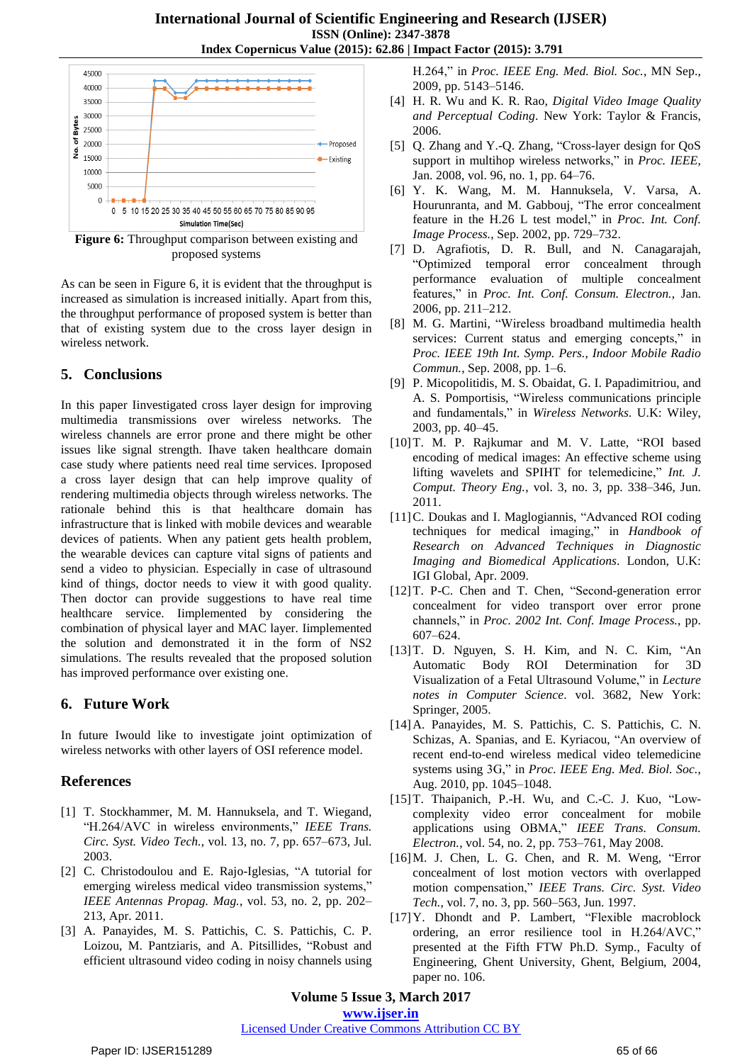

**Figure 6:** Throughput comparison between existing and proposed systems

As can be seen in Figure 6, it is evident that the throughput is increased as simulation is increased initially. Apart from this, the throughput performance of proposed system is better than that of existing system due to the cross layer design in wireless network.

## **5. Conclusions**

In this paper Iinvestigated cross layer design for improving multimedia transmissions over wireless networks. The wireless channels are error prone and there might be other issues like signal strength. Ihave taken healthcare domain case study where patients need real time services. Iproposed a cross layer design that can help improve quality of rendering multimedia objects through wireless networks. The rationale behind this is that healthcare domain has infrastructure that is linked with mobile devices and wearable devices of patients. When any patient gets health problem, the wearable devices can capture vital signs of patients and send a video to physician. Especially in case of ultrasound kind of things, doctor needs to view it with good quality. Then doctor can provide suggestions to have real time healthcare service. Iimplemented by considering the combination of physical layer and MAC layer. Iimplemented the solution and demonstrated it in the form of NS2 simulations. The results revealed that the proposed solution has improved performance over existing one.

# **6. Future Work**

In future Iwould like to investigate joint optimization of wireless networks with other layers of OSI reference model.

# **References**

- [1] T. Stockhammer, M. M. Hannuksela, and T. Wiegand, "H.264/AVC in wireless environments," *IEEE Trans. Circ. Syst. Video Tech.*, vol. 13, no. 7, pp. 657–673, Jul. 2003.
- [2] C. Christodoulou and E. Rajo-Iglesias, "A tutorial for emerging wireless medical video transmission systems," *IEEE Antennas Propag. Mag.*, vol. 53, no. 2, pp. 202– 213, Apr. 2011.
- [3] A. Panayides, M. S. Pattichis, C. S. Pattichis, C. P. Loizou, M. Pantziaris, and A. Pitsillides, "Robust and efficient ultrasound video coding in noisy channels using

H.264," in *Proc. IEEE Eng. Med. Biol. Soc.*, MN Sep., 2009, pp. 5143–5146.

- [4] H. R. Wu and K. R. Rao, *Digital Video Image Quality and Perceptual Coding*. New York: Taylor & Francis, 2006.
- [5] Q. Zhang and Y.-Q. Zhang, "Cross-layer design for QoS support in multihop wireless networks," in *Proc. IEEE*, Jan. 2008, vol. 96, no. 1, pp. 64–76.
- [6] Y. K. Wang, M. M. Hannuksela, V. Varsa, A. Hourunranta, and M. Gabbouj, "The error concealment feature in the H.26 L test model," in *Proc. Int. Conf. Image Process.*, Sep. 2002, pp. 729–732.
- [7] D. Agrafiotis, D. R. Bull, and N. Canagarajah, "Optimized temporal error concealment through performance evaluation of multiple concealment features," in *Proc. Int. Conf. Consum. Electron.*, Jan. 2006, pp. 211–212.
- [8] M. G. Martini, "Wireless broadband multimedia health services: Current status and emerging concepts," in *Proc. IEEE 19th Int. Symp. Pers., Indoor Mobile Radio Commun.*, Sep. 2008, pp. 1–6.
- [9] P. Micopolitidis, M. S. Obaidat, G. I. Papadimitriou, and A. S. Pomportisis, "Wireless communications principle and fundamentals," in *Wireless Networks*. U.K: Wiley, 2003, pp. 40–45.
- [10]T. M. P. Rajkumar and M. V. Latte, "ROI based encoding of medical images: An effective scheme using lifting wavelets and SPIHT for telemedicine," *Int. J. Comput. Theory Eng.*, vol. 3, no. 3, pp. 338–346, Jun. 2011.
- [11]C. Doukas and I. Maglogiannis, "Advanced ROI coding techniques for medical imaging," in *Handbook of Research on Advanced Techniques in Diagnostic Imaging and Biomedical Applications*. London, U.K: IGI Global, Apr. 2009.
- [12]T. P-C. Chen and T. Chen, "Second-generation error concealment for video transport over error prone channels," in *Proc. 2002 Int. Conf. Image Process.*, pp. 607–624.
- [13]T. D. Nguyen, S. H. Kim, and N. C. Kim, "An Automatic Body ROI Determination for 3D Visualization of a Fetal Ultrasound Volume," in *Lecture notes in Computer Science*. vol. 3682, New York: Springer, 2005.
- [14]A. Panayides, M. S. Pattichis, C. S. Pattichis, C. N. Schizas, A. Spanias, and E. Kyriacou, "An overview of recent end-to-end wireless medical video telemedicine systems using 3G," in *Proc. IEEE Eng. Med. Biol. Soc.*, Aug. 2010, pp. 1045–1048.
- [15] T. Thaipanich, P.-H. Wu, and C.-C. J. Kuo, "Lowcomplexity video error concealment for mobile applications using OBMA," *IEEE Trans. Consum. Electron.*, vol. 54, no. 2, pp. 753–761, May 2008.
- [16]M. J. Chen, L. G. Chen, and R. M. Weng, "Error concealment of lost motion vectors with overlapped motion compensation," *IEEE Trans. Circ. Syst. Video Tech.*, vol. 7, no. 3, pp. 560–563, Jun. 1997.
- [17]Y. Dhondt and P. Lambert, "Flexible macroblock ordering, an error resilience tool in H.264/AVC," presented at the Fifth FTW Ph.D. Symp., Faculty of Engineering, Ghent University, Ghent, Belgium, 2004, paper no. 106.

**Volume 5 Issue 3, March 2017 www.ijser.in**

#### Licensed Under Creative Commons Attribution CC BY